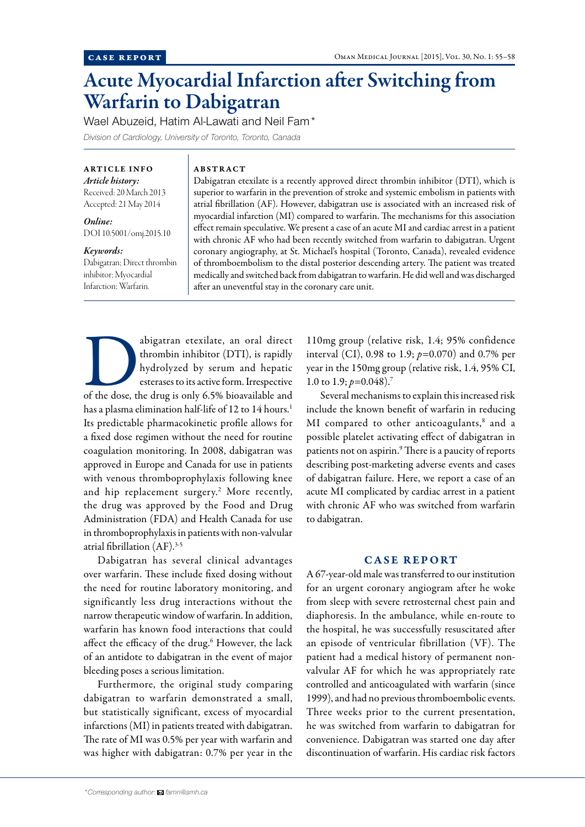# Acute Myocardial Infarction after Switching from Warfarin to Dabigatran

Wael Abuzeid, Hatim Al-Lawati and Neil Fam\* *Division of Cardiology, University of Toronto, Toronto, Canada*

ARTICLE INFO *Article history:*  Received: 20 March 2013

Accepted: 21 May 2014

*Online:* DOI 10.5001/omj.2015.10

### *Keywords:*

Dabigatran; Direct thrombin inhibitor; Myocardial Infarction; Warfarin.

# ABSTRACT

Dabigatran etexilate is a recently approved direct thrombin inhibitor (DTI), which is superior to warfarin in the prevention of stroke and systemic embolism in patients with atrial fibrillation (AF). However, dabigatran use is associated with an increased risk of myocardial infarction (MI) compared to warfarin. The mechanisms for this association effect remain speculative. We present a case of an acute MI and cardiac arrest in a patient with chronic AF who had been recently switched from warfarin to dabigatran. Urgent coronary angiography, at St. Michael's hospital (Toronto, Canada), revealed evidence of thromboembolism to the distal posterior descending artery. The patient was treated medically and switched back from dabigatran to warfarin. He did well and was discharged after an uneventful stay in the coronary care unit.

abigatran etexilate, an oral direct thrombin inhibitor (DTI), is rapidly hydrolyzed by serum and hepatic esterases to its active form. Irrespective of the dose, the drug is only 6.5% bioavailable and thrombin inhibitor (DTI), is rapidly hydrolyzed by serum and hepatic esterases to its active form. Irrespective has a plasma elimination half-life of 12 to 14 hours.<sup>1</sup> Its predictable pharmacokinetic profile allows for a fixed dose regimen without the need for routine coagulation monitoring. In 2008, dabigatran was approved in Europe and Canada for use in patients with venous thromboprophylaxis following knee and hip replacement surgery.2 More recently, the drug was approved by the Food and Drug Administration (FDA) and Health Canada for use in thromboprophylaxis in patients with non-valvular atrial fibrillation (AF).3-5

Dabigatran has several clinical advantages over warfarin. These include fixed dosing without the need for routine laboratory monitoring, and significantly less drug interactions without the narrow therapeutic window of warfarin. In addition, warfarin has known food interactions that could affect the efficacy of the drug.<sup>6</sup> However, the lack of an antidote to dabigatran in the event of major bleeding poses a serious limitation.

Furthermore, the original study comparing dabigatran to warfarin demonstrated a small, but statistically significant, excess of myocardial infarctions (MI) in patients treated with dabigatran. The rate of MI was 0.5% per year with warfarin and was higher with dabigatran: 0.7% per year in the

110mg group (relative risk, 1.4; 95% confidence interval (CI), 0.98 to 1.9; *p=*0.070) and 0.7% per year in the 150mg group (relative risk, 1.4, 95% CI, 1.0 to 1.9; *p=*0.048).7

Several mechanisms to explain this increased risk include the known benefit of warfarin in reducing MI compared to other anticoagulants,<sup>8</sup> and a possible platelet activating effect of dabigatran in patients not on aspirin.<sup>9</sup> There is a paucity of reports describing post-marketing adverse events and cases of dabigatran failure. Here, we report a case of an acute MI complicated by cardiac arrest in a patient with chronic AF who was switched from warfarin to dabigatran.

# CASE REPORT

A 67-year-old male was transferred to our institution for an urgent coronary angiogram after he woke from sleep with severe retrosternal chest pain and diaphoresis. In the ambulance, while en-route to the hospital, he was successfully resuscitated after an episode of ventricular fibrillation (VF). The patient had a medical history of permanent nonvalvular AF for which he was appropriately rate controlled and anticoagulated with warfarin (since 1999), and had no previous thromboembolic events. Three weeks prior to the current presentation, he was switched from warfarin to dabigatran for convenience. Dabigatran was started one day after discontinuation of warfarin. His cardiac risk factors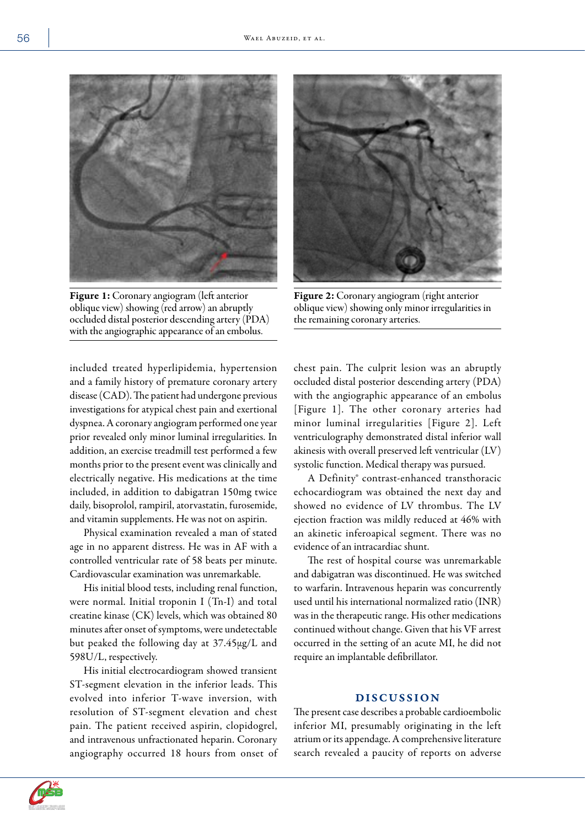

Figure 1: Coronary angiogram (left anterior oblique view) showing (red arrow) an abruptly occluded distal posterior descending artery (PDA) with the angiographic appearance of an embolus.



Figure 2: Coronary angiogram (right anterior oblique view) showing only minor irregularities in the remaining coronary arteries.

included treated hyperlipidemia, hypertension and a family history of premature coronary artery disease (CAD). The patient had undergone previous investigations for atypical chest pain and exertional dyspnea. A coronary angiogram performed one year prior revealed only minor luminal irregularities. In addition, an exercise treadmill test performed a few months prior to the present event was clinically and electrically negative. His medications at the time included, in addition to dabigatran 150mg twice daily, bisoprolol, rampiril, atorvastatin, furosemide, and vitamin supplements. He was not on aspirin.

Physical examination revealed a man of stated age in no apparent distress. He was in AF with a controlled ventricular rate of 58 beats per minute. Cardiovascular examination was unremarkable.

His initial blood tests, including renal function, were normal. Initial troponin I (Tn-I) and total creatine kinase (CK) levels, which was obtained 80 minutes after onset of symptoms, were undetectable but peaked the following day at 37.45μg/L and 598U/L, respectively.

His initial electrocardiogram showed transient ST-segment elevation in the inferior leads. This evolved into inferior T-wave inversion, with resolution of ST-segment elevation and chest pain. The patient received aspirin, clopidogrel, and intravenous unfractionated heparin. Coronary angiography occurred 18 hours from onset of chest pain. The culprit lesion was an abruptly occluded distal posterior descending artery (PDA) with the angiographic appearance of an embolus [Figure 1]. The other coronary arteries had minor luminal irregularities [Figure 2]. Left ventriculography demonstrated distal inferior wall akinesis with overall preserved left ventricular (LV) systolic function. Medical therapy was pursued.

A Definity® contrast-enhanced transthoracic echocardiogram was obtained the next day and showed no evidence of LV thrombus. The LV ejection fraction was mildly reduced at 46% with an akinetic inferoapical segment. There was no evidence of an intracardiac shunt.

The rest of hospital course was unremarkable and dabigatran was discontinued. He was switched to warfarin. Intravenous heparin was concurrently used until his international normalized ratio (INR) was in the therapeutic range. His other medications continued without change. Given that his VF arrest occurred in the setting of an acute MI, he did not require an implantable defibrillator.

### DISCUSSION

The present case describes a probable cardioembolic inferior MI, presumably originating in the left atrium or its appendage. A comprehensive literature search revealed a paucity of reports on adverse

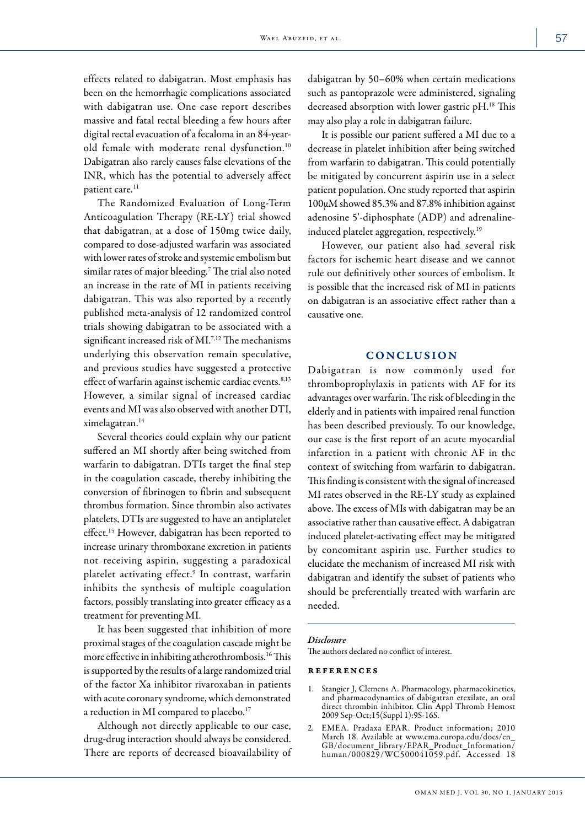effects related to dabigatran. Most emphasis has been on the hemorrhagic complications associated with dabigatran use. One case report describes massive and fatal rectal bleeding a few hours after digital rectal evacuation of a fecaloma in an 84-yearold female with moderate renal dysfunction.10 Dabigatran also rarely causes false elevations of the INR, which has the potential to adversely affect patient care.<sup>11</sup>

The Randomized Evaluation of Long-Term Anticoagulation Therapy (RE-LY) trial showed that dabigatran, at a dose of 150mg twice daily, compared to dose-adjusted warfarin was associated with lower rates of stroke and systemic embolism but similar rates of major bleeding.7 The trial also noted an increase in the rate of MI in patients receiving dabigatran. This was also reported by a recently published meta-analysis of 12 randomized control trials showing dabigatran to be associated with a significant increased risk of MI.<sup>7,12</sup> The mechanisms underlying this observation remain speculative, and previous studies have suggested a protective effect of warfarin against ischemic cardiac events.<sup>8,13</sup> However, a similar signal of increased cardiac events and MI was also observed with another DTI, ximelagatran.14

Several theories could explain why our patient suffered an MI shortly after being switched from warfarin to dabigatran. DTIs target the final step in the coagulation cascade, thereby inhibiting the conversion of fibrinogen to fibrin and subsequent thrombus formation. Since thrombin also activates platelets, DTIs are suggested to have an antiplatelet effect.<sup>15</sup> However, dabigatran has been reported to increase urinary thromboxane excretion in patients not receiving aspirin, suggesting a paradoxical platelet activating effect.<sup>9</sup> In contrast, warfarin inhibits the synthesis of multiple coagulation factors, possibly translating into greater efficacy as a treatment for preventing MI.

It has been suggested that inhibition of more proximal stages of the coagulation cascade might be more effective in inhibiting atherothrombosis.16 This is supported by the results of a large randomized trial of the factor Xa inhibitor rivaroxaban in patients with acute coronary syndrome, which demonstrated a reduction in MI compared to placebo.<sup>17</sup>

Although not directly applicable to our case, drug-drug interaction should always be considered. There are reports of decreased bioavailability of dabigatran by 50–60% when certain medications such as pantoprazole were administered, signaling decreased absorption with lower gastric pH.18 This may also play a role in dabigatran failure.

It is possible our patient suffered a MI due to a decrease in platelet inhibition after being switched from warfarin to dabigatran. This could potentially be mitigated by concurrent aspirin use in a select patient population. One study reported that aspirin 100µM showed 85.3% and 87.8% inhibition against adenosine 5'-diphosphate (ADP) and adrenalineinduced platelet aggregation, respectively.<sup>19</sup>

However, our patient also had several risk factors for ischemic heart disease and we cannot rule out definitively other sources of embolism. It is possible that the increased risk of MI in patients on dabigatran is an associative effect rather than a causative one.

## **CONCLUSION**

Dabigatran is now commonly used for thromboprophylaxis in patients with AF for its advantages over warfarin. The risk of bleeding in the elderly and in patients with impaired renal function has been described previously. To our knowledge, our case is the first report of an acute myocardial infarction in a patient with chronic AF in the context of switching from warfarin to dabigatran. This finding is consistent with the signal of increased MI rates observed in the RE-LY study as explained above. The excess of MIs with dabigatran may be an associative rather than causative effect. A dabigatran induced platelet-activating effect may be mitigated by concomitant aspirin use. Further studies to elucidate the mechanism of increased MI risk with dabigatran and identify the subset of patients who should be preferentially treated with warfarin are needed.

#### *Disclosure*

The authors declared no conflict of interest.

## references

- Stangier J, Clemens A. Pharmacology, pharmacokinetics, and pharmacodynamics of dabigatran etexilate, an oral direct thrombin inhibitor. Clin Appl Thromb Hemost 2009 Sep-Oct;15(Suppl 1):9S-16S.
- 2. EMEA. Pradaxa EPAR. Product information; 2010 March 18. Available at www.ema.europa.edu/docs/en\_ GB/document\_library/EPAR\_Product\_Information/ human/000829/WC500041059.pdf. Accessed 18